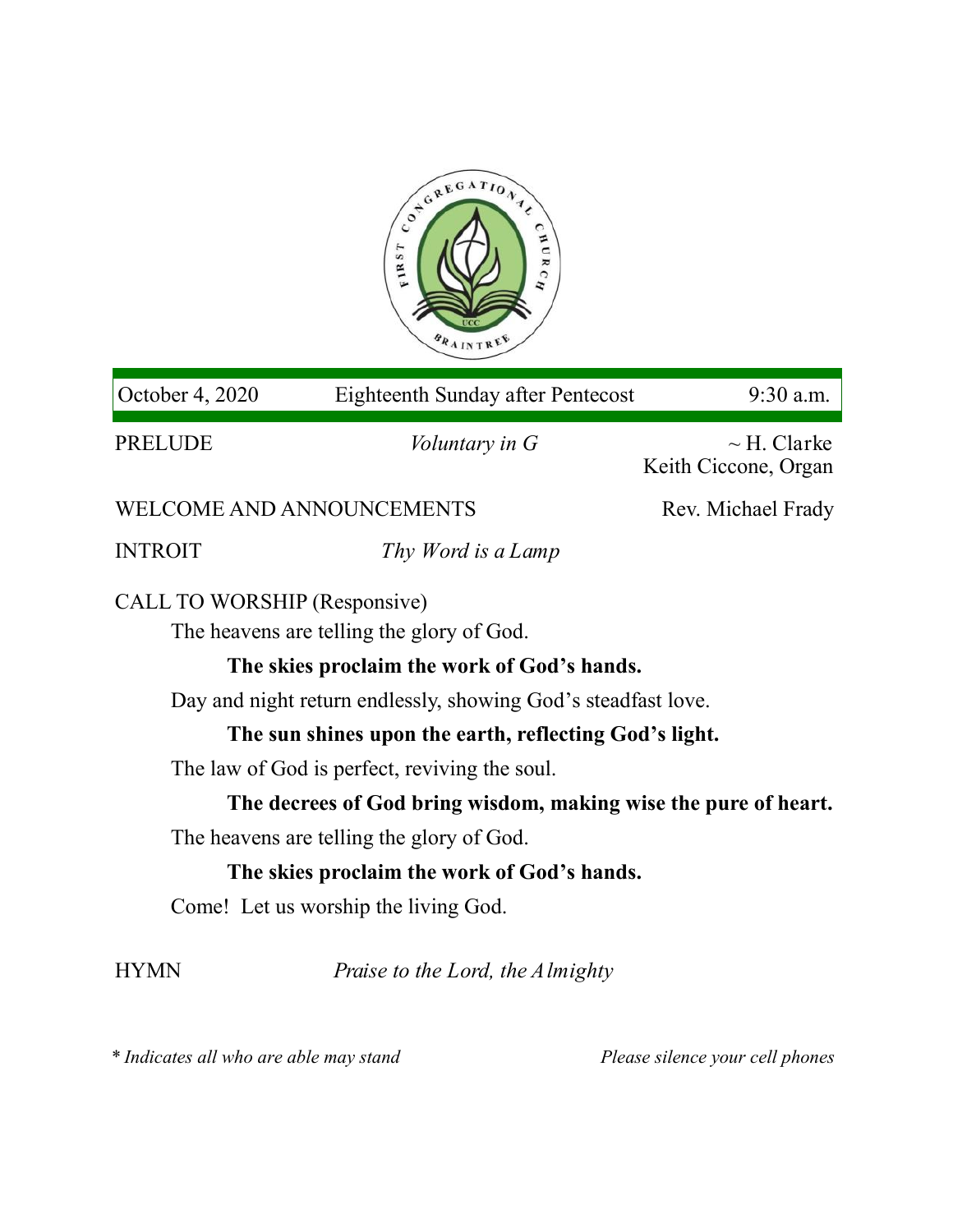

| October 4, 2020                                                           | <b>Eighteenth Sunday after Pentecost</b> | 9:30 a.m.                                |
|---------------------------------------------------------------------------|------------------------------------------|------------------------------------------|
| <b>PRELUDE</b>                                                            | <i>Voluntary in G</i>                    | $\sim$ H. Clarke<br>Keith Ciccone, Organ |
| <b>WELCOME AND ANNOUNCEMENTS</b>                                          |                                          | Rev. Michael Frady                       |
| <b>INTROIT</b>                                                            | Thy Word is a Lamp                       |                                          |
| CALL TO WORSHIP (Responsive)<br>The heavens are telling the glory of God. |                                          |                                          |
| The skies proclaim the work of God's hands.                               |                                          |                                          |
| Day and night return endlessly, showing God's steadfast love.             |                                          |                                          |
| The sun shines upon the earth, reflecting God's light.                    |                                          |                                          |
| The law of God is perfect, reviving the soul.                             |                                          |                                          |
| The decrees of God bring wisdom, making wise the pure of heart.           |                                          |                                          |
| The heavens are telling the glory of God.                                 |                                          |                                          |
| The skies proclaim the work of God's hands.                               |                                          |                                          |
| Come! Let us worship the living God.                                      |                                          |                                          |
| <b>HYMN</b>                                                               | Praise to the Lord, the Almighty         |                                          |

*\* Indicates all who are able may stand Please silence your cell phones*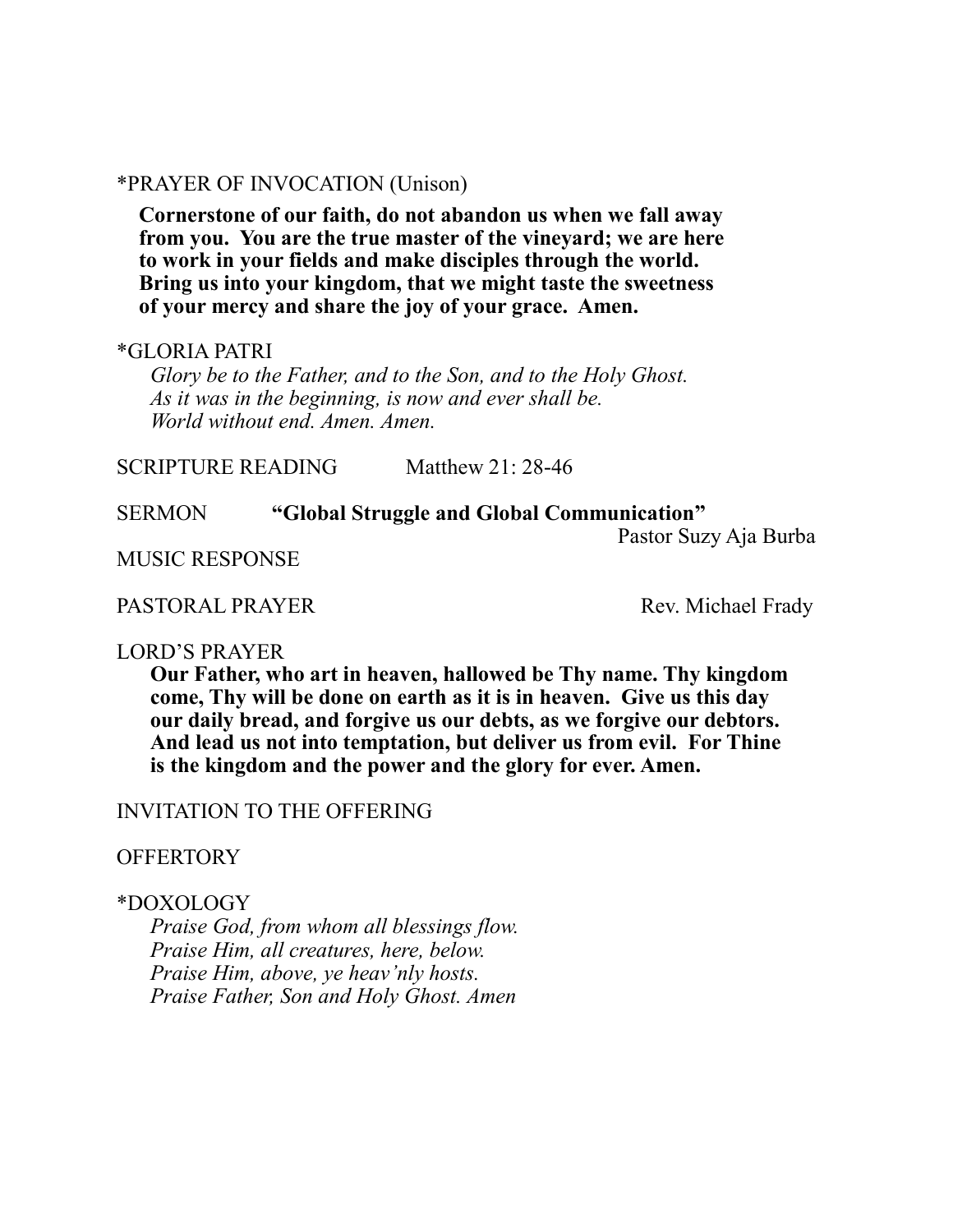## \*PRAYER OF INVOCATION (Unison)

**Cornerstone of our faith, do not abandon us when we fall away from you. You are the true master of the vineyard; we are here to work in your fields and make disciples through the world. Bring us into your kingdom, that we might taste the sweetness of your mercy and share the joy of your grace. Amen.**

### \*GLORIA PATRI

*Glory be to the Father, and to the Son, and to the Holy Ghost. As it was in the beginning, is now and ever shall be. World without end. Amen. Amen.* 

SCRIPTURE READING Matthew 21: 28-46

#### SERMON **"Global Struggle and Global Communication"**

Pastor Suzy Aja Burba

MUSIC RESPONSE

PASTORAL PRAYER Rev. Michael Frady

#### LORD'S PRAYER

**Our Father, who art in heaven, hallowed be Thy name. Thy kingdom come, Thy will be done on earth as it is in heaven. Give us this day our daily bread, and forgive us our debts, as we forgive our debtors. And lead us not into temptation, but deliver us from evil. For Thine is the kingdom and the power and the glory for ever. Amen.**

## INVITATION TO THE OFFERING

### **OFFERTORY**

### \*DOXOLOGY

*Praise God, from whom all blessings flow. Praise Him, all creatures, here, below. Praise Him, above, ye heav'nly hosts. Praise Father, Son and Holy Ghost. Amen*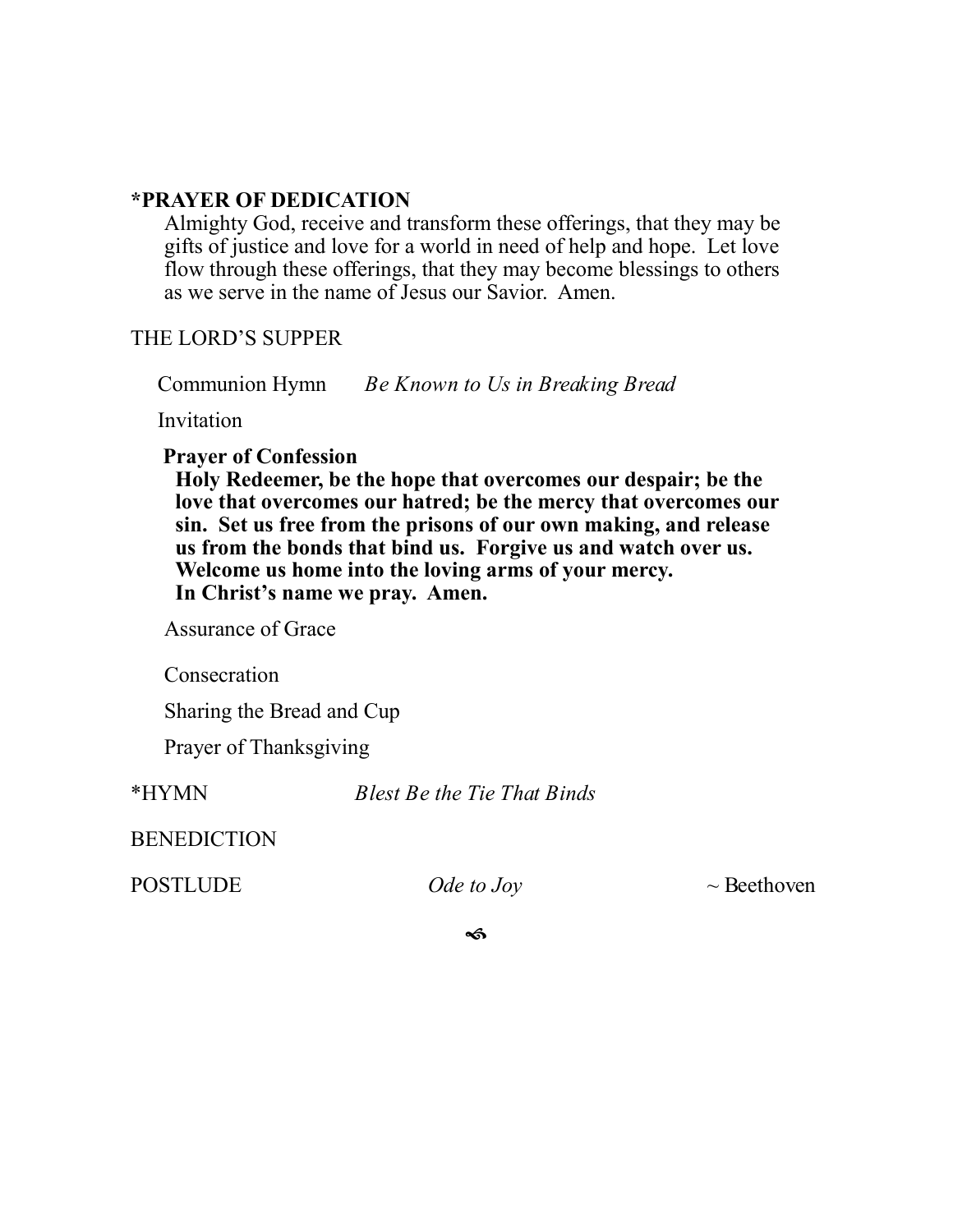# **\*PRAYER OF DEDICATION**

Almighty God, receive and transform these offerings, that they may be gifts of justice and love for a world in need of help and hope. Let love flow through these offerings, that they may become blessings to others as we serve in the name of Jesus our Savior. Amen.

## THE LORD'S SUPPER

Communion Hymn *Be Known to Us in Breaking Bread* 

Invitation

## **Prayer of Confession**

**Holy Redeemer, be the hope that overcomes our despair; be the love that overcomes our hatred; be the mercy that overcomes our sin. Set us free from the prisons of our own making, and release us from the bonds that bind us. Forgive us and watch over us. Welcome us home into the loving arms of your mercy. In Christ's name we pray. Amen.**

Assurance of Grace

Consecration

Sharing the Bread and Cup

Prayer of Thanksgiving

\*HYMN *Blest Be the Tie That Binds* 

BENEDICTION

POSTLUDE *Ode to Joy* ~ Beethoven

<ดิ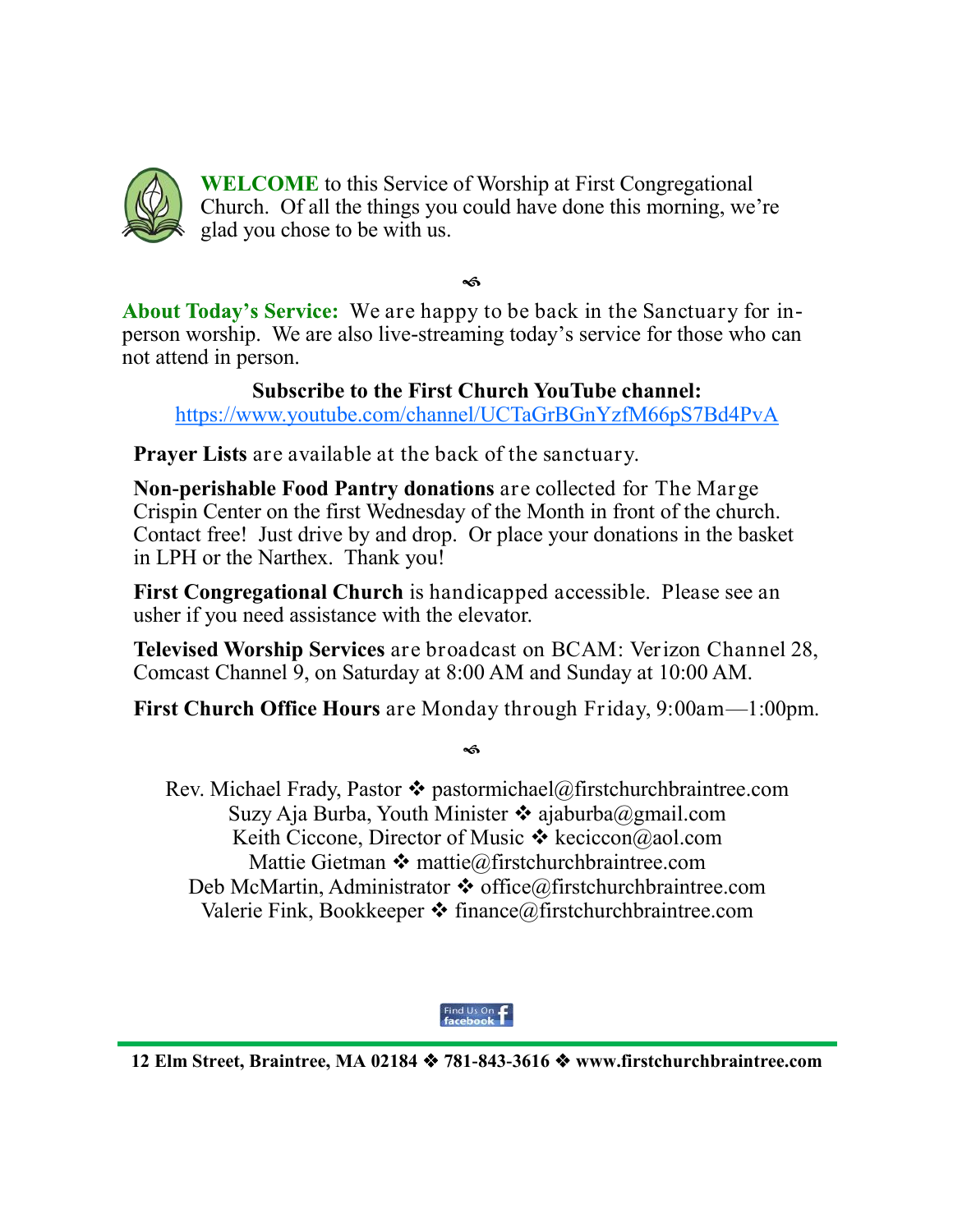

**WELCOME** to this Service of Worship at First Congregational Church. Of all the things you could have done this morning, we're glad you chose to be with us.

 $\mathbf{A}$ 

About Today's Service: We are happy to be back in the Sanctuary for inperson worship. We are also live-streaming today's service for those who can not attend in person.

**Subscribe to the First Church YouTube channel:**  <https://www.youtube.com/channel/UCTaGrBGnYzfM66pS7Bd4PvA>

**Prayer Lists** are available at the back of the sanctuary.

**Non-perishable Food Pantry donations** are collected for The Marge Crispin Center on the first Wednesday of the Month in front of the church. Contact free! Just drive by and drop. Or place your donations in the basket in LPH or the Narthex. Thank you!

**First Congregational Church** is handicapped accessible. Please see an usher if you need assistance with the elevator.

**Televised Worship Services** are broadcast on BCAM: Verizon Channel 28, Comcast Channel 9, on Saturday at 8:00 AM and Sunday at 10:00 AM.

**First Church Office Hours** are Monday through Friday, 9:00am—1:00pm.

# ๔

Rev. Michael Frady, Pastor  $\triangleleft$  pastormichael@firstchurchbraintree.com Suzy Aja Burba, Youth Minister  $\cdot$  ajaburba@gmail.com Keith Ciccone, Director of Music  $\triangleleft$  keciccon@aol.com Mattie Gietman  $\cdot \cdot$  [mattie@firstchurchbraintree.com](mailto:mattie@firstchurchbraintree.com) Deb McMartin, Administrator  $\cdot \cdot$  office@firstchurchbraintree.com Valerie Fink, Bookkeeper  $\triangleleft$  finance@firstchurchbraintree.com



**12 Elm Street, Braintree, MA 02184 781-843-3616 www.firstchurchbraintree.com**